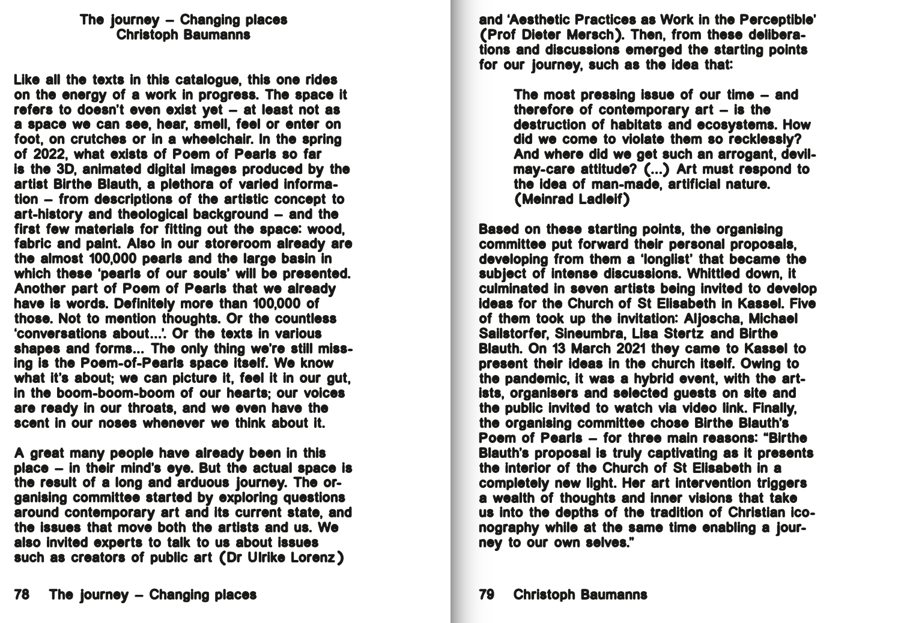and 'Aesthetic Practices as Work in the Perceptible' (Prof Dieter Mersch). Then, from these deliberations and discussions emerged the starting points for our journey, such as the idea that:

> The most pressing issue of our time – and therefore of contemporary art – is the destruction of habitats and ecosystems. How did we come to violate them so recklessly? And where did we get such an arrogant, devilmay-care attitude? (...) Art must respond to the idea of man-made, artificial nature. (Meinrad Ladleif)

Based on these starting points, the organising committee put forward their personal proposals, developing from them a 'longlist' that became the subject of intense discussions. Whittled down, it culminated in seven artists being invited to develop ideas for the Church of St Elisabeth in Kassel. Five of them took up the invitation: Aljoscha, Michael Sailstorfer, Sineumbra, Lisa Stertz and Birthe Blauth. On 13 March 2021 they came to Kassel to present their ideas in the church itself. Owing to the pandemic, it was a hybrid event, with the artists, organisers and selected guests on site and the public invited to watch via video link. Finally, the organising committee chose Birthe Blauth's Poem of Pearls – for three main reasons: "Birthe Blauth's proposal is truly captivating as it presents the interior of the Church of St Elisabeth in a completely new light. Her art intervention triggers a wealth of thoughts and inner visions that take us into the depths of the tradition of Christian iconography while at the same time enabling a journey to our own selves."

## The journey – Changing places Christoph Baumanns

Like all the texts in this catalogue, this one rides on the energy of a work in progress. The space it refers to doesn't even exist yet – at least not as a space we can see, hear, smell, feel or enter on foot, on crutches or in a wheelchair. In the spring of 2022, what exists of Poem of Pearls so far is the 3D, animated digital images produced by the artist Birthe Blauth, a plethora of varied information – from descriptions of the artistic concept to art-history and theological background – and the first few materials for fitting out the space: wood, fabric and paint. Also in our storeroom already are the almost 100,000 pearls and the large basin in which these 'pearls of our souls' will be presented. Another part of Poem of Pearls that we already have is words. Definitely more than 100,000 of those. Not to mention thoughts. Or the countless 'conversations about...'. Or the texts in various shapes and forms... The only thing we're still missing is the Poem-of-Pearls space itself. We know what it's about; we can picture it, feel it in our gut, in the boom-boom-boom of our hearts; our voices are ready in our throats, and we even have the scent in our noses whenever we think about it.

A great many people have already been in this place – in their mind's eye. But the actual space is the result of a long and arduous journey. The organising committee started by exploring questions around contemporary art and its current state, and the issues that move both the artists and us. We also invited experts to talk to us about issues such as creators of public art (Dr Ulrike Lorenz)